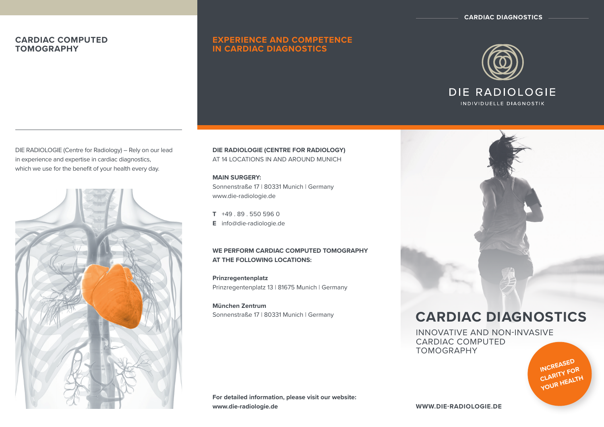**CARDIAC DIAGNOSTICS**

# **CARDIAC COMPUTED TOMOGRAPHY**

# **EXPERIENCE AND COMPETENCE IN CARDIac DIAGNOSTICS**



DIE RADIOLOGIE (Centre for Radiology) – Rely on our lead in experience and expertise in cardiac diagnostics, which we use for the benefit of your health every day.



**DIE RADIOLOGIE (CENTRE FOR RADIOLOGY)**  AT 14 LOCATIONS IN and around MUNICH

**MAIN SURGERY:**  Sonnenstraße 17 | 80331 Munich | Germany www.die-radiologie.de

**T** +49 . 89 . 550 596 0 **E** info@die-radiologie.de

## **WE PERFORM CARDIAC COMPUTED TOMOGRAPHY AT THE FOLLOWING LOCATIONS:**

**Prinzregentenplatz** Prinzregentenplatz 13 | 81675 Munich | Germany

**München Zentrum** Sonnenstraße 17 | 80331 Munich | Germany

# **CARDIAC DIAGNOSTICS**

INNOVATIVE AND NON-INVASIVE CARDIAC COMPUTED TOMOGRAPHY



**For detailed information, please visit our website: www.die-radiologie.de**

**www.die-radiologie.de**